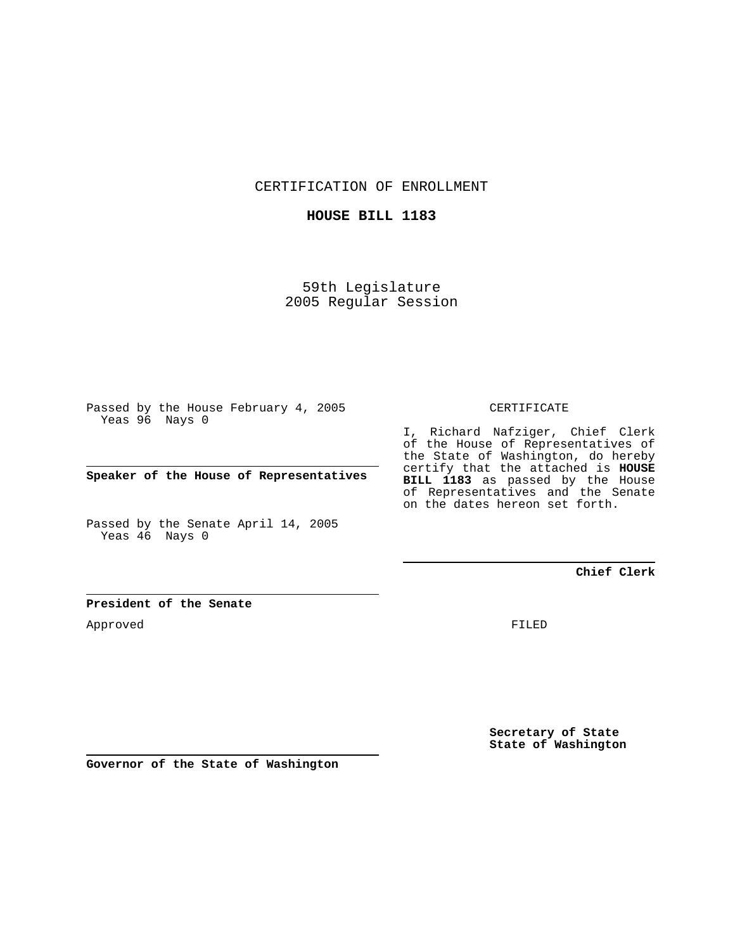CERTIFICATION OF ENROLLMENT

### **HOUSE BILL 1183**

59th Legislature 2005 Regular Session

Passed by the House February 4, 2005 Yeas 96 Nays 0

**Speaker of the House of Representatives**

Passed by the Senate April 14, 2005 Yeas 46 Nays 0

### CERTIFICATE

I, Richard Nafziger, Chief Clerk of the House of Representatives of the State of Washington, do hereby certify that the attached is **HOUSE BILL 1183** as passed by the House of Representatives and the Senate on the dates hereon set forth.

## **Chief Clerk**

### **President of the Senate**

Approved

FILED

**Secretary of State State of Washington**

**Governor of the State of Washington**